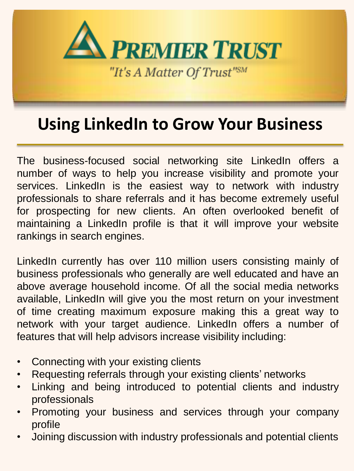

# **Using LinkedIn to Grow Your Business**

The business-focused social networking site LinkedIn offers a number of ways to help you increase visibility and promote your services. LinkedIn is the easiest way to network with industry professionals to share referrals and it has become extremely useful for prospecting for new clients. An often overlooked benefit of maintaining a LinkedIn profile is that it will improve your website rankings in search engines.

LinkedIn currently has over 110 million users consisting mainly of business professionals who generally are well educated and have an above average household income. Of all the social media networks available, LinkedIn will give you the most return on your investment of time creating maximum exposure making this a great way to network with your target audience. LinkedIn offers a number of features that will help advisors increase visibility including:

- Connecting with your existing clients
- Requesting referrals through your existing clients' networks
- Linking and being introduced to potential clients and industry professionals
- Promoting your business and services through your company profile
- Joining discussion with industry professionals and potential clients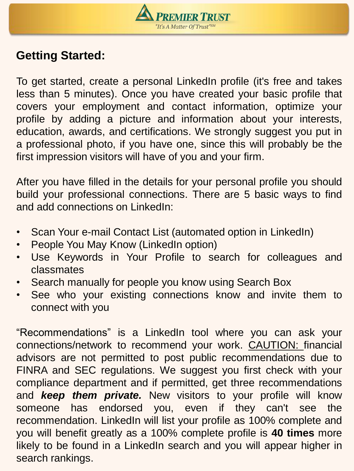

# **Getting Started:**

To get started, create a personal LinkedIn profile (it's free and takes less than 5 minutes). Once you have created your basic profile that covers your employment and contact information, optimize your profile by adding a picture and information about your interests, education, awards, and certifications. We strongly suggest you put in a professional photo, if you have one, since this will probably be the first impression visitors will have of you and your firm.

After you have filled in the details for your personal profile you should build your professional connections. There are 5 basic ways to find and add connections on LinkedIn:

- Scan Your e-mail Contact List (automated option in LinkedIn)
- People You May Know (LinkedIn option)
- Use Keywords in Your Profile to search for colleagues and classmates
- Search manually for people you know using Search Box
- See who your existing connections know and invite them to connect with you

"Recommendations" is a LinkedIn tool where you can ask your connections/network to recommend your work. CAUTION: financial advisors are not permitted to post public recommendations due to FINRA and SEC regulations. We suggest you first check with your compliance department and if permitted, get three recommendations and *keep them private.* New visitors to your profile will know someone has endorsed you, even if they can't see the recommendation. LinkedIn will list your profile as 100% complete and you will benefit greatly as a 100% complete profile is **40 times** more likely to be found in a LinkedIn search and you will appear higher in search rankings.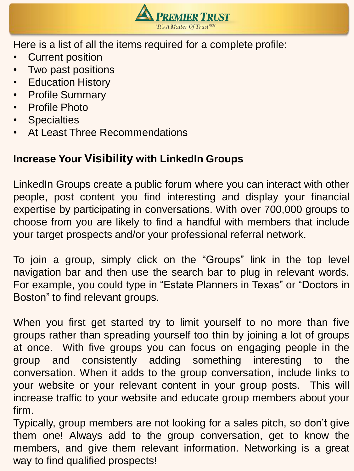

Here is a list of all the items required for a complete profile:

- **Current position**
- Two past positions
- Education History
- Profile Summary
- Profile Photo
- Specialties
- At Least Three Recommendations

#### **Increase Your Visibility with LinkedIn Groups**

LinkedIn Groups create a public forum where you can interact with other people, post content you find interesting and display your financial expertise by participating in conversations. With over 700,000 groups to choose from you are likely to find a handful with members that include your target prospects and/or your professional referral network.

To join a group, simply click on the "Groups" link in the top level navigation bar and then use the search bar to plug in relevant words. For example, you could type in "Estate Planners in Texas" or "Doctors in Boston" to find relevant groups.

When you first get started try to limit yourself to no more than five groups rather than spreading yourself too thin by joining a lot of groups at once. With five groups you can focus on engaging people in the group and consistently adding something interesting to the conversation. When it adds to the group conversation, include links to your website or your relevant content in your group posts. This will increase traffic to your website and educate group members about your firm.

Typically, group members are not looking for a sales pitch, so don't give them one! Always add to the group conversation, get to know the members, and give them relevant information. Networking is a great way to find qualified prospects!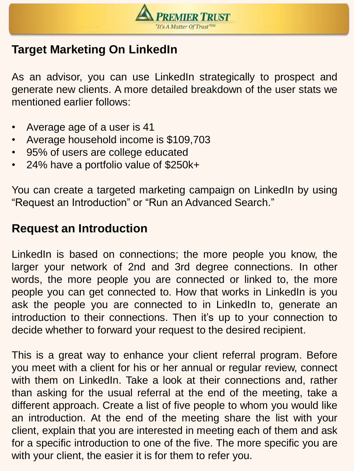

# **Target Marketing On LinkedIn**

As an advisor, you can use LinkedIn strategically to prospect and generate new clients. A more detailed breakdown of the user stats we mentioned earlier follows:

- Average age of a user is 41
- Average household income is \$109,703
- 95% of users are college educated
- 24% have a portfolio value of \$250k+

You can create a targeted marketing campaign on LinkedIn by using "Request an Introduction" or "Run an Advanced Search."

## **Request an Introduction**

LinkedIn is based on connections; the more people you know, the larger your network of 2nd and 3rd degree connections. In other words, the more people you are connected or linked to, the more people you can get connected to. How that works in LinkedIn is you ask the people you are connected to in LinkedIn to, generate an introduction to their connections. Then it's up to your connection to decide whether to forward your request to the desired recipient.

This is a great way to enhance your client referral program. Before you meet with a client for his or her annual or regular review, connect with them on LinkedIn. Take a look at their connections and, rather than asking for the usual referral at the end of the meeting, take a different approach. Create a list of five people to whom you would like an introduction. At the end of the meeting share the list with your client, explain that you are interested in meeting each of them and ask for a specific introduction to one of the five. The more specific you are with your client, the easier it is for them to refer you.